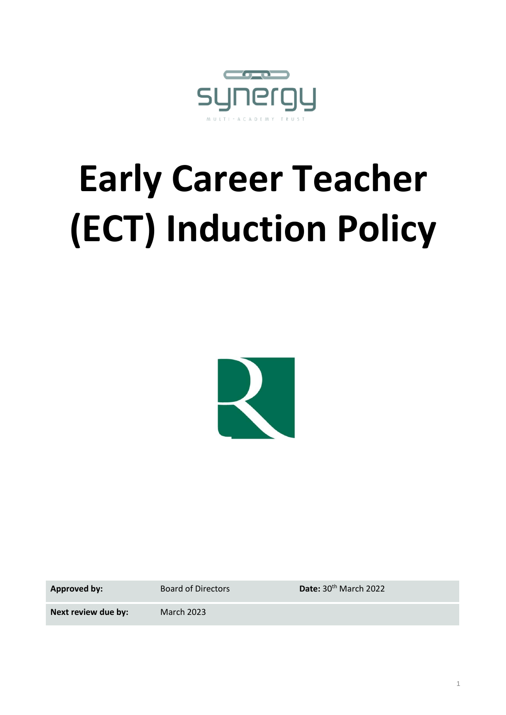

# **Early Career Teacher (ECT) Induction Policy**



Approved by: Board of Directors **Date:** 30<sup>th</sup> March 2022

**Next review due by:** March 2023

1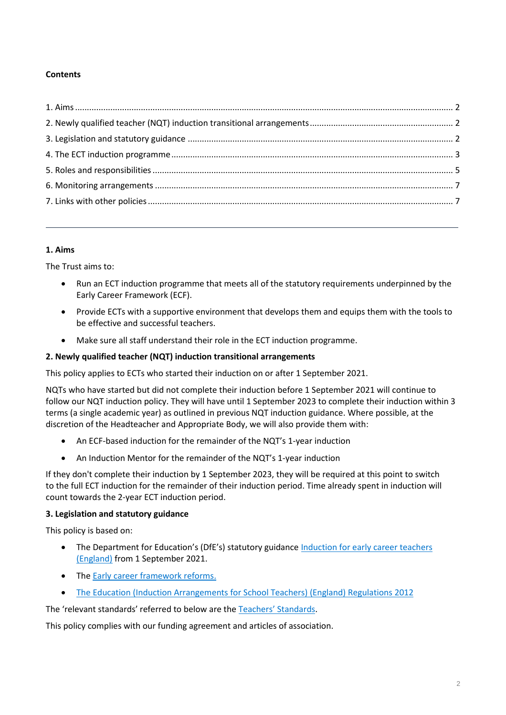# **Contents**

# <span id="page-1-0"></span>**1. Aims**

The Trust aims to:

- Run an ECT induction programme that meets all of the statutory requirements underpinned by the Early Career Framework (ECF).
- Provide ECTs with a supportive environment that develops them and equips them with the tools to be effective and successful teachers.
- Make sure all staff understand their role in the ECT induction programme.

## <span id="page-1-1"></span>**2. Newly qualified teacher (NQT) induction transitional arrangements**

This policy applies to ECTs who started their induction on or after 1 September 2021.

NQTs who have started but did not complete their induction before 1 September 2021 will continue to follow our NQT induction policy. They will have until 1 September 2023 to complete their induction within 3 terms (a single academic year) as outlined in previous NQT induction guidance. Where possible, at the discretion of the Headteacher and Appropriate Body, we will also provide them with:

- An ECF-based induction for the remainder of the NQT's 1-year induction
- An Induction Mentor for the remainder of the NQT's 1-year induction

If they don't complete their induction by 1 September 2023, they will be required at this point to switch to the full ECT induction for the remainder of their induction period. Time already spent in induction will count towards the 2-year ECT induction period.

### <span id="page-1-2"></span>**3. Legislation and statutory guidance**

This policy is based on:

- The Department for Education's (DfE's) statutory guidance Induction for early career teachers [\(England\)](https://www.gov.uk/government/publications/induction-for-early-career-teachers-england) from 1 September 2021.
- The [Early career framework reforms.](https://www.gov.uk/government/collections/early-career-framework-reforms)
- The Education [\(Induction Arrangements for School Teachers\) \(England\) Regulations 2012](http://www.legislation.gov.uk/uksi/2012/1115/contents/made)

The 'relevant standards' referred to below are the [Teachers' Standards](https://www.gov.uk/government/publications/teachers-standards).

This policy complies with our funding agreement and articles of association.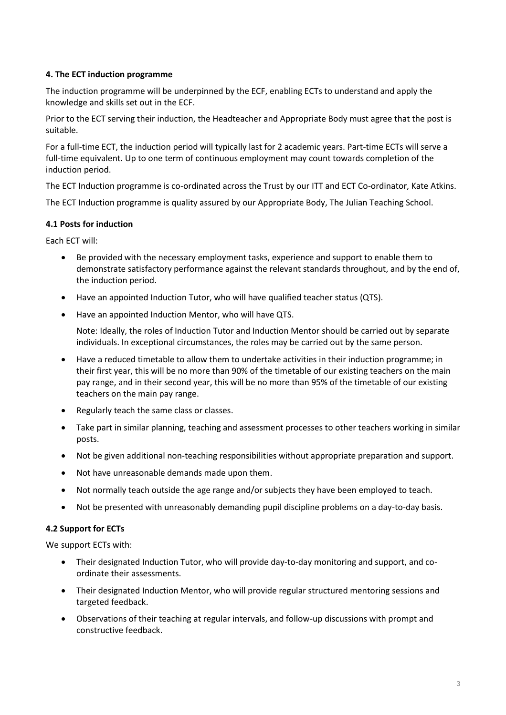# <span id="page-2-0"></span>**4. The ECT induction programme**

The induction programme will be underpinned by the ECF, enabling ECTs to understand and apply the knowledge and skills set out in the ECF.

Prior to the ECT serving their induction, the Headteacher and Appropriate Body must agree that the post is suitable.

For a full-time ECT, the induction period will typically last for 2 academic years. Part-time ECTs will serve a full-time equivalent. Up to one term of continuous employment may count towards completion of the induction period.

The ECT Induction programme is co-ordinated across the Trust by our ITT and ECT Co-ordinator, Kate Atkins.

The ECT Induction programme is quality assured by our Appropriate Body, The Julian Teaching School.

## **4.1 Posts for induction**

Each ECT will:

- Be provided with the necessary employment tasks, experience and support to enable them to demonstrate satisfactory performance against the relevant standards throughout, and by the end of, the induction period.
- Have an appointed Induction Tutor, who will have qualified teacher status (QTS).
- Have an appointed Induction Mentor, who will have QTS.

Note: Ideally, the roles of Induction Tutor and Induction Mentor should be carried out by separate individuals. In exceptional circumstances, the roles may be carried out by the same person.

- Have a reduced timetable to allow them to undertake activities in their induction programme; in their first year, this will be no more than 90% of the timetable of our existing teachers on the main pay range, and in their second year, this will be no more than 95% of the timetable of our existing teachers on the main pay range.
- Regularly teach the same class or classes.
- Take part in similar planning, teaching and assessment processes to other teachers working in similar posts.
- Not be given additional non-teaching responsibilities without appropriate preparation and support.
- Not have unreasonable demands made upon them.
- Not normally teach outside the age range and/or subjects they have been employed to teach.
- Not be presented with unreasonably demanding pupil discipline problems on a day-to-day basis.

# **4.2 Support for ECTs**

We support ECTs with:

- Their designated Induction Tutor, who will provide day-to-day monitoring and support, and coordinate their assessments.
- Their designated Induction Mentor, who will provide regular structured mentoring sessions and targeted feedback.
- Observations of their teaching at regular intervals, and follow-up discussions with prompt and constructive feedback.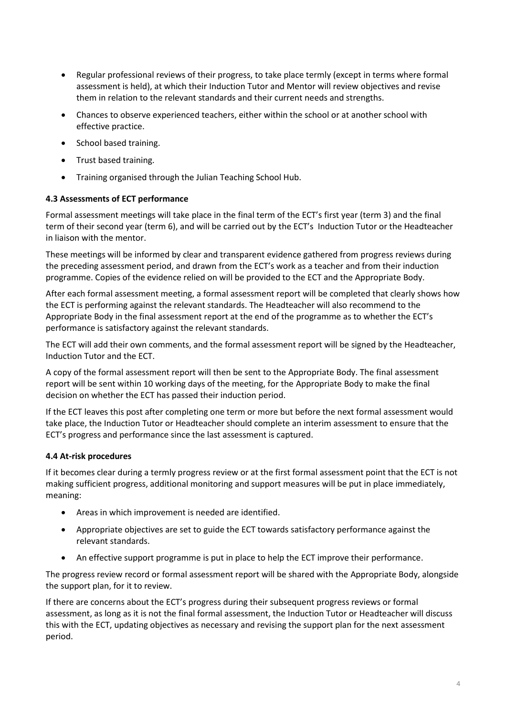- Regular professional reviews of their progress, to take place termly (except in terms where formal assessment is held), at which their Induction Tutor and Mentor will review objectives and revise them in relation to the relevant standards and their current needs and strengths.
- Chances to observe experienced teachers, either within the school or at another school with effective practice.
- School based training.
- Trust based training.
- Training organised through the Julian Teaching School Hub.

# **4.3 Assessments of ECT performance**

Formal assessment meetings will take place in the final term of the ECT's first year (term 3) and the final term of their second year (term 6), and will be carried out by the ECT's Induction Tutor or the Headteacher in liaison with the mentor.

These meetings will be informed by clear and transparent evidence gathered from progress reviews during the preceding assessment period, and drawn from the ECT's work as a teacher and from their induction programme. Copies of the evidence relied on will be provided to the ECT and the Appropriate Body.

After each formal assessment meeting, a formal assessment report will be completed that clearly shows how the ECT is performing against the relevant standards. The Headteacher will also recommend to the Appropriate Body in the final assessment report at the end of the programme as to whether the ECT's performance is satisfactory against the relevant standards.

The ECT will add their own comments, and the formal assessment report will be signed by the Headteacher, Induction Tutor and the ECT.

A copy of the formal assessment report will then be sent to the Appropriate Body. The final assessment report will be sent within 10 working days of the meeting, for the Appropriate Body to make the final decision on whether the ECT has passed their induction period.

If the ECT leaves this post after completing one term or more but before the next formal assessment would take place, the Induction Tutor or Headteacher should complete an interim assessment to ensure that the ECT's progress and performance since the last assessment is captured.

### **4.4 At-risk procedures**

If it becomes clear during a termly progress review or at the first formal assessment point that the ECT is not making sufficient progress, additional monitoring and support measures will be put in place immediately, meaning:

- Areas in which improvement is needed are identified.
- Appropriate objectives are set to guide the ECT towards satisfactory performance against the relevant standards.
- An effective support programme is put in place to help the ECT improve their performance.

The progress review record or formal assessment report will be shared with the Appropriate Body, alongside the support plan, for it to review.

If there are concerns about the ECT's progress during their subsequent progress reviews or formal assessment, as long as it is not the final formal assessment, the Induction Tutor or Headteacher will discuss this with the ECT, updating objectives as necessary and revising the support plan for the next assessment period.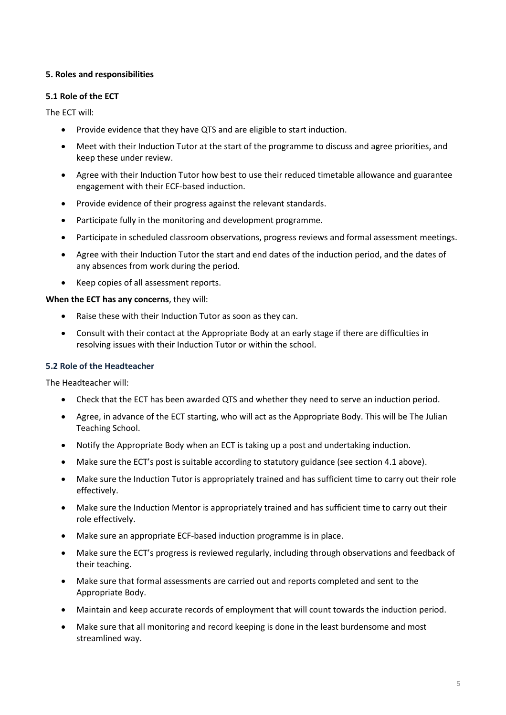# <span id="page-4-0"></span>**5. Roles and responsibilities**

## **5.1 Role of the ECT**

The ECT will:

- Provide evidence that they have QTS and are eligible to start induction.
- Meet with their Induction Tutor at the start of the programme to discuss and agree priorities, and keep these under review.
- Agree with their Induction Tutor how best to use their reduced timetable allowance and guarantee engagement with their ECF-based induction.
- Provide evidence of their progress against the relevant standards.
- Participate fully in the monitoring and development programme.
- Participate in scheduled classroom observations, progress reviews and formal assessment meetings.
- Agree with their Induction Tutor the start and end dates of the induction period, and the dates of any absences from work during the period.
- Keep copies of all assessment reports.

### **When the ECT has any concerns**, they will:

- Raise these with their Induction Tutor as soon as they can.
- Consult with their contact at the Appropriate Body at an early stage if there are difficulties in resolving issues with their Induction Tutor or within the school.

### **5.2 Role of the Headteacher**

The Headteacher will:

- Check that the ECT has been awarded QTS and whether they need to serve an induction period.
- Agree, in advance of the ECT starting, who will act as the Appropriate Body. This will be The Julian Teaching School.
- Notify the Appropriate Body when an ECT is taking up a post and undertaking induction.
- Make sure the ECT's post is suitable according to statutory guidance (see section 4.1 above).
- Make sure the Induction Tutor is appropriately trained and has sufficient time to carry out their role effectively.
- Make sure the Induction Mentor is appropriately trained and has sufficient time to carry out their role effectively.
- Make sure an appropriate ECF-based induction programme is in place.
- Make sure the ECT's progress is reviewed regularly, including through observations and feedback of their teaching.
- Make sure that formal assessments are carried out and reports completed and sent to the Appropriate Body.
- Maintain and keep accurate records of employment that will count towards the induction period.
- Make sure that all monitoring and record keeping is done in the least burdensome and most streamlined way.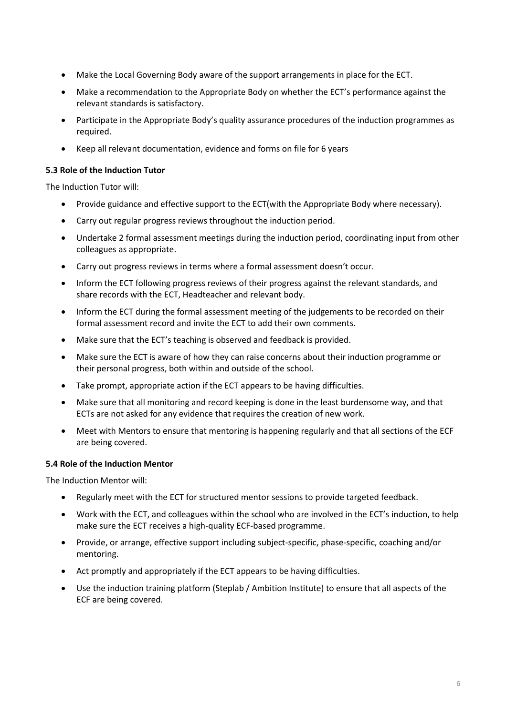- Make the Local Governing Body aware of the support arrangements in place for the ECT.
- Make a recommendation to the Appropriate Body on whether the ECT's performance against the relevant standards is satisfactory.
- Participate in the Appropriate Body's quality assurance procedures of the induction programmes as required.
- Keep all relevant documentation, evidence and forms on file for 6 years

## **5.3 Role of the Induction Tutor**

The Induction Tutor will:

- Provide guidance and effective support to the ECT(with the Appropriate Body where necessary).
- Carry out regular progress reviews throughout the induction period.
- Undertake 2 formal assessment meetings during the induction period, coordinating input from other colleagues as appropriate.
- Carry out progress reviews in terms where a formal assessment doesn't occur.
- Inform the ECT following progress reviews of their progress against the relevant standards, and share records with the ECT, Headteacher and relevant body.
- Inform the ECT during the formal assessment meeting of the judgements to be recorded on their formal assessment record and invite the ECT to add their own comments.
- Make sure that the ECT's teaching is observed and feedback is provided.
- Make sure the ECT is aware of how they can raise concerns about their induction programme or their personal progress, both within and outside of the school.
- Take prompt, appropriate action if the ECT appears to be having difficulties.
- Make sure that all monitoring and record keeping is done in the least burdensome way, and that ECTs are not asked for any evidence that requires the creation of new work.
- Meet with Mentors to ensure that mentoring is happening regularly and that all sections of the ECF are being covered.

### **5.4 Role of the Induction Mentor**

The Induction Mentor will:

- Regularly meet with the ECT for structured mentor sessions to provide targeted feedback.
- Work with the ECT, and colleagues within the school who are involved in the ECT's induction, to help make sure the ECT receives a high-quality ECF-based programme.
- Provide, or arrange, effective support including subject-specific, phase-specific, coaching and/or mentoring.
- Act promptly and appropriately if the ECT appears to be having difficulties.
- Use the induction training platform (Steplab / Ambition Institute) to ensure that all aspects of the ECF are being covered.